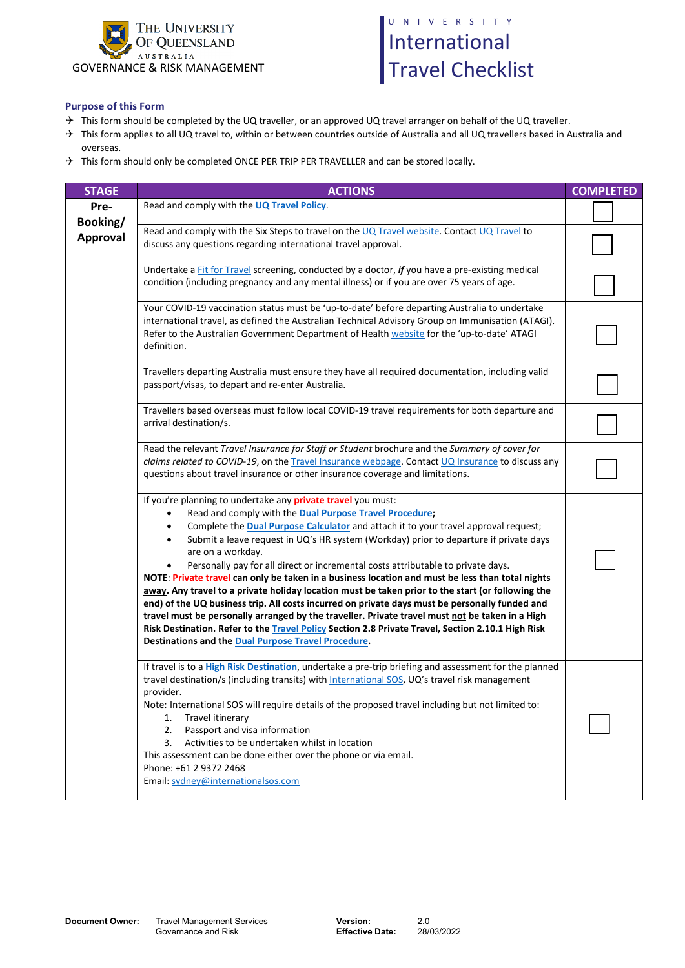

## UNIVERSITY International Travel Checklist

## **Purpose of this Form**

- $\rightarrow$  This form should be completed by the UQ traveller, or an approved UQ travel arranger on behalf of the UQ traveller.
- $\rightarrow$  This form applies to all UQ travel to, within or between countries outside of Australia and all UQ travellers based in Australia and overseas.
- $\rightarrow$  This form should only be completed ONCE PER TRIP PER TRAVELLER and can be stored locally.

| <b>STAGE</b>     | <b>ACTIONS</b>                                                                                                                                                                                                                                                                                                                                                                                                                                                                                                                                                                                                                                                                                                                                                                                                                                                                                                                                                                                                                                         | <b>COMPLETED</b> |
|------------------|--------------------------------------------------------------------------------------------------------------------------------------------------------------------------------------------------------------------------------------------------------------------------------------------------------------------------------------------------------------------------------------------------------------------------------------------------------------------------------------------------------------------------------------------------------------------------------------------------------------------------------------------------------------------------------------------------------------------------------------------------------------------------------------------------------------------------------------------------------------------------------------------------------------------------------------------------------------------------------------------------------------------------------------------------------|------------------|
| Pre-<br>Booking/ | Read and comply with the UQ Travel Policy.                                                                                                                                                                                                                                                                                                                                                                                                                                                                                                                                                                                                                                                                                                                                                                                                                                                                                                                                                                                                             |                  |
| <b>Approval</b>  | Read and comply with the Six Steps to travel on the UQ Travel website. Contact UQ Travel to<br>discuss any questions regarding international travel approval.                                                                                                                                                                                                                                                                                                                                                                                                                                                                                                                                                                                                                                                                                                                                                                                                                                                                                          |                  |
|                  | Undertake a Fit for Travel screening, conducted by a doctor, if you have a pre-existing medical<br>condition (including pregnancy and any mental illness) or if you are over 75 years of age.                                                                                                                                                                                                                                                                                                                                                                                                                                                                                                                                                                                                                                                                                                                                                                                                                                                          |                  |
|                  | Your COVID-19 vaccination status must be 'up-to-date' before departing Australia to undertake<br>international travel, as defined the Australian Technical Advisory Group on Immunisation (ATAGI).<br>Refer to the Australian Government Department of Health website for the 'up-to-date' ATAGI<br>definition.                                                                                                                                                                                                                                                                                                                                                                                                                                                                                                                                                                                                                                                                                                                                        |                  |
|                  | Travellers departing Australia must ensure they have all required documentation, including valid<br>passport/visas, to depart and re-enter Australia.                                                                                                                                                                                                                                                                                                                                                                                                                                                                                                                                                                                                                                                                                                                                                                                                                                                                                                  |                  |
|                  | Travellers based overseas must follow local COVID-19 travel requirements for both departure and<br>arrival destination/s.                                                                                                                                                                                                                                                                                                                                                                                                                                                                                                                                                                                                                                                                                                                                                                                                                                                                                                                              |                  |
|                  | Read the relevant Travel Insurance for Staff or Student brochure and the Summary of cover for<br>claims related to COVID-19, on the Travel Insurance webpage. Contact UQ Insurance to discuss any<br>questions about travel insurance or other insurance coverage and limitations.                                                                                                                                                                                                                                                                                                                                                                                                                                                                                                                                                                                                                                                                                                                                                                     |                  |
|                  | If you're planning to undertake any <b>private travel</b> you must:<br>Read and comply with the <b>Dual Purpose Travel Procedure;</b><br>$\bullet$<br>Complete the <b>Dual Purpose Calculator</b> and attach it to your travel approval request;<br>$\bullet$<br>Submit a leave request in UQ's HR system (Workday) prior to departure if private days<br>$\bullet$<br>are on a workday.<br>Personally pay for all direct or incremental costs attributable to private days.<br>NOTE: Private travel can only be taken in a business location and must be less than total nights<br>away. Any travel to a private holiday location must be taken prior to the start (or following the<br>end) of the UQ business trip. All costs incurred on private days must be personally funded and<br>travel must be personally arranged by the traveller. Private travel must not be taken in a High<br>Risk Destination. Refer to the Travel Policy Section 2.8 Private Travel, Section 2.10.1 High Risk<br>Destinations and the Dual Purpose Travel Procedure. |                  |
|                  | If travel is to a High Risk Destination, undertake a pre-trip briefing and assessment for the planned<br>travel destination/s (including transits) with International SOS, UQ's travel risk management<br>provider.<br>Note: International SOS will require details of the proposed travel including but not limited to:<br>Travel itinerary<br>1.<br>Passport and visa information<br>2.<br>Activities to be undertaken whilst in location<br>3.<br>This assessment can be done either over the phone or via email.<br>Phone: +61 2 9372 2468<br>Email: sydney@internationalsos.com                                                                                                                                                                                                                                                                                                                                                                                                                                                                   |                  |